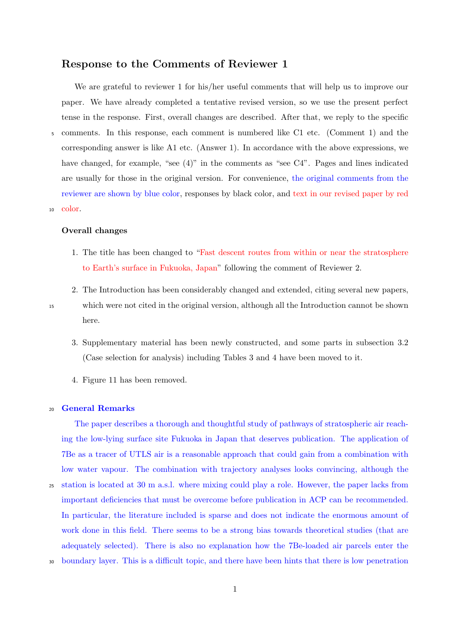# **Response to the Comments of Reviewer 1**

We are grateful to reviewer 1 for his/her useful comments that will help us to improve our paper. We have already completed a tentative revised version, so we use the present perfect tense in the response. First, overall changes are described. After that, we reply to the specific <sup>5</sup> comments. In this response, each comment is numbered like C1 etc. (Comment 1) and the corresponding answer is like A1 etc. (Answer 1). In accordance with the above expressions, we have changed, for example, "see  $(4)$ " in the comments as "see C4". Pages and lines indicated are usually for those in the original version. For convenience, the original comments from the reviewer are shown by blue color, responses by black color, and text in our revised paper by red <sup>10</sup> color.

## **Overall changes**

- 1. The title has been changed to "Fast descent routes from within or near the stratosphere to Earth's surface in Fukuoka, Japan" following the comment of Reviewer 2.
- 2. The Introduction has been considerably changed and extended, citing several new papers, <sup>15</sup> which were not cited in the original version, although all the Introduction cannot be shown here.
	- 3. Supplementary material has been newly constructed, and some parts in subsection 3.2 (Case selection for analysis) including Tables 3 and 4 have been moved to it.
	- 4. Figure 11 has been removed.

## <sup>20</sup> **General Remarks**

The paper describes a thorough and thoughtful study of pathways of stratospheric air reaching the low-lying surface site Fukuoka in Japan that deserves publication. The application of 7Be as a tracer of UTLS air is a reasonable approach that could gain from a combination with low water vapour. The combination with trajectory analyses looks convincing, although the <sup>25</sup> station is located at 30 m a.s.l. where mixing could play a role. However, the paper lacks from important deficiencies that must be overcome before publication in ACP can be recommended. In particular, the literature included is sparse and does not indicate the enormous amount of

adequately selected). There is also no explanation how the 7Be-loaded air parcels enter the

work done in this field. There seems to be a strong bias towards theoretical studies (that are

<sup>30</sup> boundary layer. This is a difficult topic, and there have been hints that there is low penetration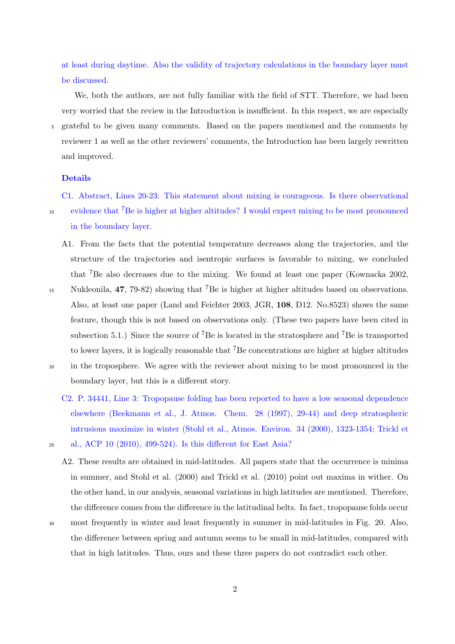at least during daytime. Also the validity of trajectory calculations in the boundary layer must be discussed.

We, both the authors, are not fully familiar with the field of STT. Therefore, we had been very worried that the review in the Introduction is insufficient. In this respect, we are especially <sup>5</sup> grateful to be given many comments. Based on the papers mentioned and the comments by reviewer 1 as well as the other reviewers' comments, the Introduction has been largely rewritten and improved.

### **Details**

C1. Abstract, Lines 20-23: This statement about mixing is courageous. Is there observational <sup>10</sup> evidence that <sup>7</sup>Be is higher at higher altitudes? I would expect mixing to be most pronounced in the boundary layer.

- A1. From the facts that the potential temperature decreases along the trajectories, and the structure of the trajectories and isentropic surfaces is favorable to mixing, we concluded that <sup>7</sup>Be also decreases due to the mixing. We found at least one paper (Kownacka 2002,
- 15 Nukleonila, 47, 79-82) showing that <sup>7</sup>Be is higher at higher altitudes based on observations. Also, at least one paper (Land and Feichter 2003, JGR, **108**, D12. No.8523) shows the same feature, though this is not based on observations only. (These two papers have been cited in subsection 5.1.) Since the source of <sup>7</sup>Be is located in the stratosphere and <sup>7</sup>Be is transported to lower layers, it is logically reasonable that <sup>7</sup>Be concentrations are higher at higher altitudes
- <sup>20</sup> in the troposphere. We agree with the reviewer about mixing to be most pronounced in the

boundary layer, but this is a different story.

C2. P. 34441, Line 3: Tropopause folding has been reported to have a low seasonal dependence elsewhere (Beekmann et al., J. Atmos. Chem. 28 (1997), 29-44) and deep stratospheric intrusions maximize in winter (Stohl et al., Atmos. Environ. 34 (2000), 1323-1354; Trickl et

- <sup>25</sup> al., ACP 10 (2010), 499-524). Is this different for East Asia?
	- A2. These results are obtained in mid-latitudes. All papers state that the occurrence is minima in summer, and Stohl et al. (2000) and Trickl et al. (2010) point out maxima in wither. On the other hand, in our analysis, seasonal variations in high latitudes are mentioned. Therefore, the difference comes from the difference in the latitudinal belts. In fact, tropopause folds occur
- 
- <sup>30</sup> most frequently in winter and least frequently in summer in mid-latitudes in Fig. 20. Also, the difference between spring and autumn seems to be small in mid-latitudes, compared with that in high latitudes. Thus, ours and these three papers do not contradict each other.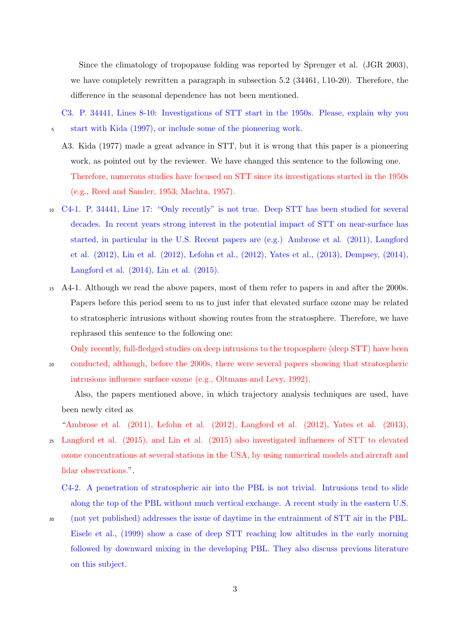Since the climatology of tropopause folding was reported by Sprenger et al. (JGR 2003), we have completely rewritten a paragraph in subsection 5.2 (34461, l.10-20). Therefore, the difference in the seasonal dependence has not been mentioned.

C3. P. 34441, Lines 8-10: Investigations of STT start in the 1950s. Please, explain why you <sup>5</sup> start with Kida (1997), or include some of the pioneering work.

- A3. Kida (1977) made a great advance in STT, but it is wrong that this paper is a pioneering work, as pointed out by the reviewer. We have changed this sentence to the following one. Therefore, numerous studies have focused on STT since its investigations started in the 1950s (e.g., Reed and Sander, 1953; Machta, 1957).
- <sup>10</sup> C4-1. P. 34441, Line 17: "Only recently" is not true. Deep STT has been studied for several decades. In recent years strong interest in the potential impact of STT on near-surface has started, in particular in the U.S. Recent papers are (e.g.) Ambrose et al. (2011), Langford et al. (2012), Lin et al. (2012), Lefohn et al., (2012), Yates et al., (2013), Dempsey, (2014), Langford et al. (2014), Lin et al. (2015).
- <sup>15</sup> A4-1. Although we read the above papers, most of them refer to papers in and after the 2000s. Papers before this period seem to us to just infer that elevated surface ozone may be related to stratospheric intrusions without showing routes from the stratosphere. Therefore, we have rephrased this sentence to the following one:

Only recently, full-fledged studies on deep intrusions to the troposphere (deep STT) have been

<sup>20</sup> conducted, although, before the 2000s, there were several papers showing that stratospheric intrusions influence surface ozone (e.g., Oltmans and Levy, 1992).

Also, the papers mentioned above, in which trajectory analysis techniques are used, have been newly cited as

"Ambrose et al.  $(2011)$ , Lefohn et al.  $(2012)$ , Langford et al.  $(2012)$ , Yates et al.  $(2013)$ , <sup>25</sup> Langford et al. (2015), and Lin et al. (2015) also investigated influences of STT to elevated ozone concentrations at several stations in the USA, by using numerical models and aircraft and lidar observations.".

C4-2. A penetration of stratospheric air into the PBL is not trivial. Intrusions tend to slide along the top of the PBL without much vertical exchange. A recent study in the eastern U.S.

<sup>30</sup> (not yet published) addresses the issue of daytime in the entrainment of STT air in the PBL. Eisele et al., (1999) show a case of deep STT reaching low altitudes in the early morning followed by downward mixing in the developing PBL. They also discuss previous literature on this subject.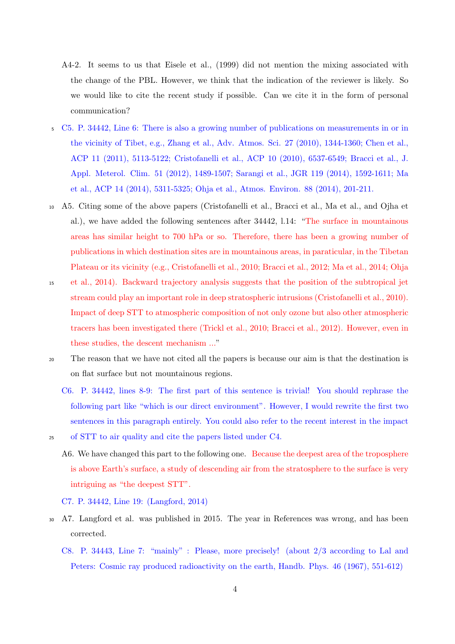- A4-2. It seems to us that Eisele et al., (1999) did not mention the mixing associated with the change of the PBL. However, we think that the indication of the reviewer is likely. So we would like to cite the recent study if possible. Can we cite it in the form of personal communication?
- <sup>5</sup> C5. P. 34442, Line 6: There is also a growing number of publications on measurements in or in the vicinity of Tibet, e.g., Zhang et al., Adv. Atmos. Sci. 27 (2010), 1344-1360; Chen et al., ACP 11 (2011), 5113-5122; Cristofanelli et al., ACP 10 (2010), 6537-6549; Bracci et al., J. Appl. Meterol. Clim. 51 (2012), 1489-1507; Sarangi et al., JGR 119 (2014), 1592-1611; Ma et al., ACP 14 (2014), 5311-5325; Ohja et al., Atmos. Environ. 88 (2014), 201-211.
- <sup>10</sup> A5. Citing some of the above papers (Cristofanelli et al., Bracci et al., Ma et al., and Ojha et al.), we have added the following sentences after 34442, l.14: "The surface in mountainous areas has similar height to 700 hPa or so. Therefore, there has been a growing number of publications in which destination sites are in mountainous areas, in paraticular, in the Tibetan Plateau or its vicinity (e.g., Cristofanelli et al., 2010; Bracci et al., 2012; Ma et al., 2014; Ohja
- <sup>15</sup> et al., 2014). Backward trajectory analysis suggests that the position of the subtropical jet stream could play an important role in deep stratospheric intrusions (Cristofanelli et al., 2010). Impact of deep STT to atmospheric composition of not only ozone but also other atmospheric tracers has been investigated there (Trickl et al., 2010; Bracci et al., 2012). However, even in these studies, the descent mechanism ..."
- <sup>20</sup> The reason that we have not cited all the papers is because our aim is that the destination is on flat surface but not mountainous regions.
	- C6. P. 34442, lines 8-9: The first part of this sentence is trivial! You should rephrase the following part like "which is our direct environment". However, I would rewrite the first two sentences in this paragraph entirely. You could also refer to the recent interest in the impact
- <sup>25</sup> of STT to air quality and cite the papers listed under C4.
	- A6. We have changed this part to the following one. Because the deepest area of the troposphere is above Earth's surface, a study of descending air from the stratosphere to the surface is very intriguing as "the deepest STT".
	- C7. P. 34442, Line 19: (Langford, 2014)
- <sup>30</sup> A7. Langford et al. was published in 2015. The year in References was wrong, and has been corrected.
	- C8. P. 34443, Line 7: "mainly" : Please, more precisely! (about 2/3 according to Lal and Peters: Cosmic ray produced radioactivity on the earth, Handb. Phys. 46 (1967), 551-612)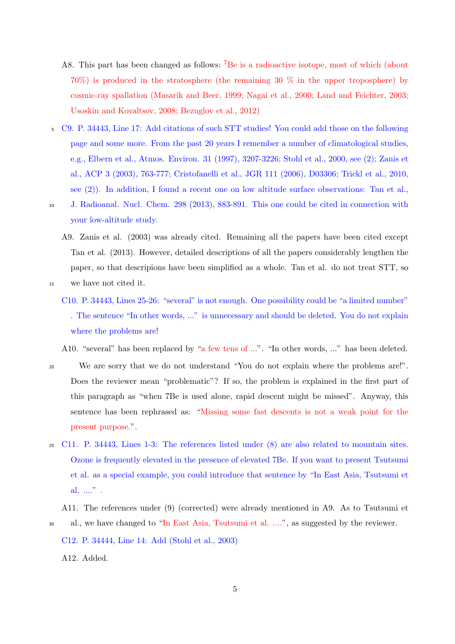- A8. This part has been changed as follows: <sup>7</sup>Be is a radioactive isotope, most of which (about 70%) is produced in the stratosphere (the remaining 30 % in the upper troposphere) by cosmic-ray spallation (Masarik and Beer, 1999; Nagai et al., 2000; Land and Feichter, 2003; Usoskin and Kovaltsov, 2008; Bezuglov et al., 2012)
- <sup>5</sup> C9. P. 34443, Line 17: Add citations of such STT studies! You could add those on the following page and some more. From the past 20 years I remember a number of climatological studies, e.g., Elbern et al., Atmos. Environ. 31 (1997), 3207-3226; Stohl et al., 2000, see (2); Zanis et al., ACP 3 (2003), 763-777; Cristofanelli et al., JGR 111 (2006), D03306; Trickl et al., 2010, see (2)). In addition, I found a recent one on low altitude surface observations: Tan et al.,
- 
- <sup>10</sup> J. Radioanal. Nucl. Chem. 298 (2013), 883-891. This one could be cited in connection with your low-altitude study.
	- A9. Zanis et al. (2003) was already cited. Remaining all the papers have been cited except Tan et al. (2013). However, detailed descriptions of all the papers considerably lengthen the paper, so that descripions have been simplified as a whole. Tan et al. do not treat STT, so
- <sup>15</sup> we have not cited it.
	- C10. P. 34443, Lines 25-26: "several" is not enough. One possibility could be "a limited number" . The sentence "In other words, ..." is unnecessary and should be deleted. You do not explain where the problems are!

A10. "several" has been replaced by "a few tens of ...". "In other words, ..." has been deleted.

- <sup>20</sup> We are sorry that we do not understand "You do not explain where the problems are!". Does the reviewer mean "problematic"? If so, the problem is explained in the first part of this paragraph as "when 7Be is used alone, rapid descent might be missed". Anyway, this sentence has been rephrased as: "Missing some fast descents is not a weak point for the present purpose.".
- <sup>25</sup> C11. P. 34443, Lines 1-3: The references listed under (8) are also related to mountain sites. Ozone is frequently elevated in the presence of elevated 7Be. If you want to present Tsutsumi et al. as a special example, you could introduce that sentence by "In East Asia, Tsutsumi et al. ...." .
- A11. The references under (9) (corrected) were already mentioned in A9. As to Tsutsumi et <sup>30</sup> al., we have changed to "In East Asia, Tsutsumi et al. ....", as suggested by the reviewer.
	- C12. P. 34444, Line 14: Add (Stohl et al., 2003)

A12. Added.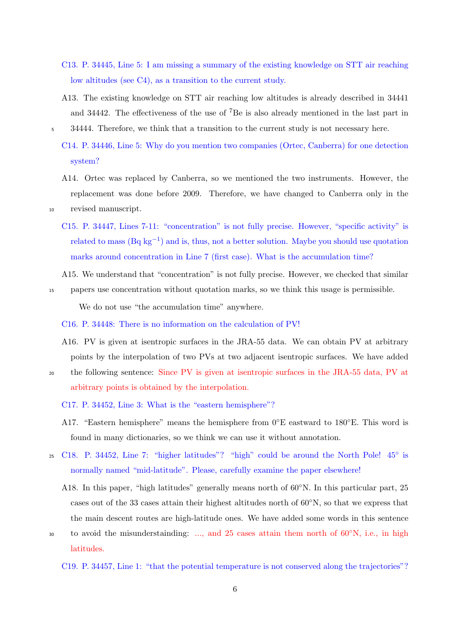- C13. P. 34445, Line 5: I am missing a summary of the existing knowledge on STT air reaching low altitudes (see C4), as a transition to the current study.
- A13. The existing knowledge on STT air reaching low altitudes is already described in 34441 and 34442. The effectiveness of the use of  ${}^{7}$ Be is also already mentioned in the last part in
- <sup>5</sup> 34444. Therefore, we think that a transition to the current study is not necessary here.
	- C14. P. 34446, Line 5: Why do you mention two companies (Ortec, Canberra) for one detection system?
- A14. Ortec was replaced by Canberra, so we mentioned the two instruments. However, the replacement was done before 2009. Therefore, we have changed to Canberra only in the <sup>10</sup> revised manuscript.
	- C15. P. 34447, Lines 7-11: "concentration" is not fully precise. However, "specific activity" is related to mass (Bq kg*−*<sup>1</sup> ) and is, thus, not a better solution. Maybe you should use quotation marks around concentration in Line 7 (first case). What is the accumulation time?
- A15. We understand that "concentration" is not fully precise. However, we checked that similar <sup>15</sup> papers use concentration without quotation marks, so we think this usage is permissible.

We do not use "the accumulation time" anywhere.

C16. P. 34448: There is no information on the calculation of PV!

- A16. PV is given at isentropic surfaces in the JRA-55 data. We can obtain PV at arbitrary points by the interpolation of two PVs at two adjacent isentropic surfaces. We have added
- <sup>20</sup> the following sentence: Since PV is given at isentropic surfaces in the JRA-55 data, PV at arbitrary points is obtained by the interpolation.

C17. P. 34452, Line 3: What is the "eastern hemisphere"?

- A17. "Eastern hemisphere" means the hemisphere from 0*◦*E eastward to 180*◦*E. This word is found in many dictionaries, so we think we can use it without annotation.
- 25 C18. P. 34452, Line 7: "higher latitudes"? "high" could be around the North Pole! 45<sup>°</sup> is normally named "mid-latitude". Please, carefully examine the paper elsewhere!
	- A18. In this paper, "high latitudes" generally means north of 60*◦*N. In this particular part, 25 cases out of the 33 cases attain their highest altitudes north of 60*◦*N, so that we express that the main descent routes are high-latitude ones. We have added some words in this sentence
- to avoid the misunderstainding: ..., and 25 cases attain them north of 60<sup>°</sup>N, i.e., in high latitudes.

C19. P. 34457, Line 1: "that the potential temperature is not conserved along the trajectories"?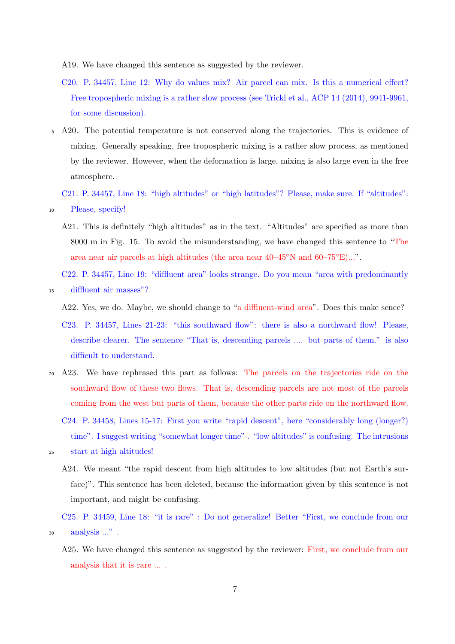A19. We have changed this sentence as suggested by the reviewer.

- C20. P. 34457, Line 12: Why do values mix? Air parcel can mix. Is this a numerical effect? Free tropospheric mixing is a rather slow process (see Trickl et al., ACP 14 (2014), 9941-9961, for some discussion).
- <sup>5</sup> A20. The potential temperature is not conserved along the trajectories. This is evidence of mixing. Generally speaking, free tropospheric mixing is a rather slow process, as mentioned by the reviewer. However, when the deformation is large, mixing is also large even in the free atmosphere.

C21. P. 34457, Line 18: "high altitudes" or "high latitudes"? Please, make sure. If "altitudes": <sup>10</sup> Please, specify!

A21. This is definitely "high altitudes" as in the text. "Altitudes" are specified as more than 8000 m in Fig. 15. To avoid the misunderstanding, we have changed this sentence to "The area near air parcels at high altitudes (the area near 40–45*◦*N and 60–75*◦*E)...".

C22. P. 34457, Line 19: "diffluent area" looks strange. Do you mean "area with predominantly <sup>15</sup> diffluent air masses"?

A22. Yes, we do. Maybe, we should change to "a diffluent-wind area". Does this make sence?

- C23. P. 34457, Lines 21-23: "this southward flow": there is also a northward flow! Please, describe clearer. The sentence "That is, descending parcels .... but parts of them." is also difficult to understand.
- <sup>20</sup> A23. We have rephrased this part as follows: The parcels on the trajectories ride on the southward flow of these two flows. That is, descending parcels are not most of the parcels coming from the west but parts of them, because the other parts ride on the northward flow.
	- C24. P. 34458, Lines 15-17: First you write "rapid descent", here "considerably long (longer?) time". I suggest writing "somewhat longer time" . "low altitudes" is confusing. The intrusions
- <sup>25</sup> start at high altitudes!
	- A24. We meant "the rapid descent from high altitudes to low altitudes (but not Earth's surface)". This sentence has been deleted, because the information given by this sentence is not important, and might be confusing.

A25. We have changed this sentence as suggested by the reviewer: First, we conclude from our analysis that it is rare ... .

C25. P. 34459, Line 18: "it is rare" : Do not generalize! Better "First, we conclude from our <sup>30</sup> analysis ..." .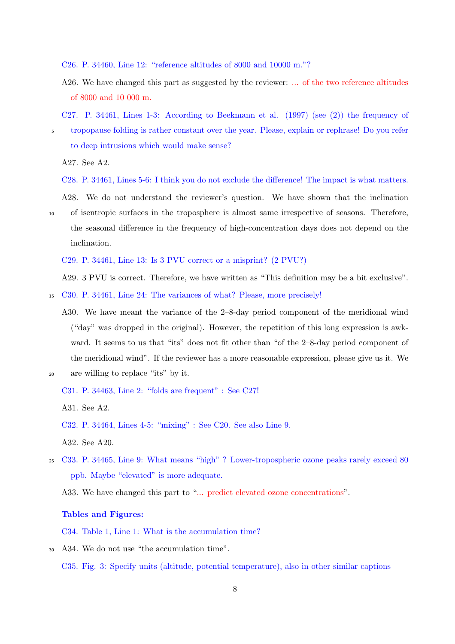C26. P. 34460, Line 12: "reference altitudes of 8000 and 10000 m."?

A26. We have changed this part as suggested by the reviewer: ... of the two reference altitudes of 8000 and 10 000 m.

C27. P. 34461, Lines 1-3: According to Beekmann et al. (1997) (see (2)) the frequency of

<sup>5</sup> tropopause folding is rather constant over the year. Please, explain or rephrase! Do you refer to deep intrusions which would make sense?

A27. See A2.

C28. P. 34461, Lines 5-6: I think you do not exclude the difference! The impact is what matters.

A28. We do not understand the reviewer's question. We have shown that the inclination <sup>10</sup> of isentropic surfaces in the troposphere is almost same irrespective of seasons. Therefore, the seasonal difference in the frequency of high-concentration days does not depend on the inclination.

C29. P. 34461, Line 13: Is 3 PVU correct or a misprint? (2 PVU?)

A29. 3 PVU is correct. Therefore, we have written as "This definition may be a bit exclusive".

<sup>15</sup> C30. P. 34461, Line 24: The variances of what? Please, more precisely!

- A30. We have meant the variance of the 2–8-day period component of the meridional wind ("day" was dropped in the original). However, the repetition of this long expression is awkward. It seems to us that "its" does not fit other than "of the 2–8-day period component of the meridional wind". If the reviewer has a more reasonable expression, please give us it. We
- <sup>20</sup> are willing to replace "its" by it.

A31. See A2.

<sup>25</sup> C33. P. 34465, Line 9: What means "high" ? Lower-tropospheric ozone peaks rarely exceed 80 ppb. Maybe "elevated" is more adequate.

A33. We have changed this part to "... predict elevated ozone concentrations".

## **Tables and Figures:**

C34. Table 1, Line 1: What is the accumulation time?

<sup>30</sup> A34. We do not use "the accumulation time". C35. Fig. 3: Specify units (altitude, potential temperature), also in other similar captions

C31. P. 34463, Line 2: "folds are frequent" : See C27!

C32. P. 34464, Lines 4-5: "mixing" : See C20. See also Line 9.

A32. See A20.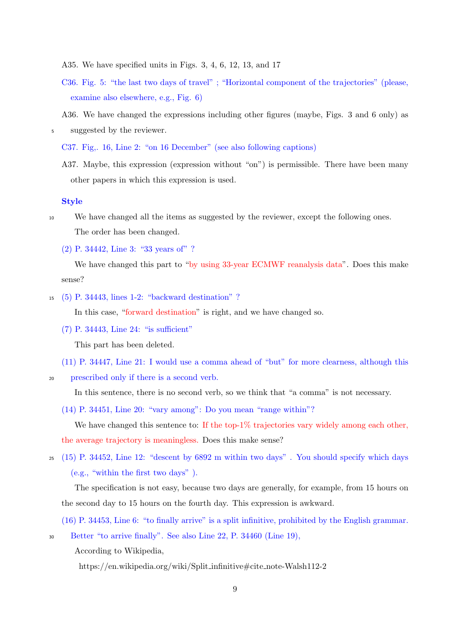- A35. We have specified units in Figs. 3, 4, 6, 12, 13, and 17
- C36. Fig. 5: "the last two days of travel" ; "Horizontal component of the trajectories" (please, examine also elsewhere, e.g., Fig. 6)
- A36. We have changed the expressions including other figures (maybe, Figs. 3 and 6 only) as
- <sup>5</sup> suggested by the reviewer.

C37. Fig,. 16, Line 2: "on 16 December" (see also following captions)

A37. Maybe, this expression (expression without "on") is permissible. There have been many other papers in which this expression is used.

#### **Style**

<sup>10</sup> We have changed all the items as suggested by the reviewer, except the following ones. The order has been changed.

(2) P. 34442, Line 3: "33 years of" ?

We have changed this part to "by using 33-year ECMWF reanalysis data". Does this make sense?

<sup>15</sup> (5) P. 34443, lines 1-2: "backward destination" ?

In this case, "forward destination" is right, and we have changed so.

(7) P. 34443, Line 24: "is sufficient"

This part has been deleted.

- (11) P. 34447, Line 21: I would use a comma ahead of "but" for more clearness, although this
- <sup>20</sup> prescribed only if there is a second verb.

In this sentence, there is no second verb, so we think that "a comma" is not necessary.

(14) P. 34451, Line 20: "vary among": Do you mean "range within"?

We have changed this sentence to: If the top- $1\%$  trajectories vary widely among each other, the average trajectory is meaningless. Does this make sense?

<sup>25</sup> (15) P. 34452, Line 12: "descent by 6892 m within two days" . You should specify which days (e.g., "within the first two days" ).

The specification is not easy, because two days are generally, for example, from 15 hours on the second day to 15 hours on the fourth day. This expression is awkward.

(16) P. 34453, Line 6: "to finally arrive" is a split infinitive, prohibited by the English grammar.

<sup>30</sup> Better "to arrive finally". See also Line 22, P. 34460 (Line 19),

According to Wikipedia,

https://en.wikipedia.org/wiki/Split infinitive#cite note-Walsh112-2